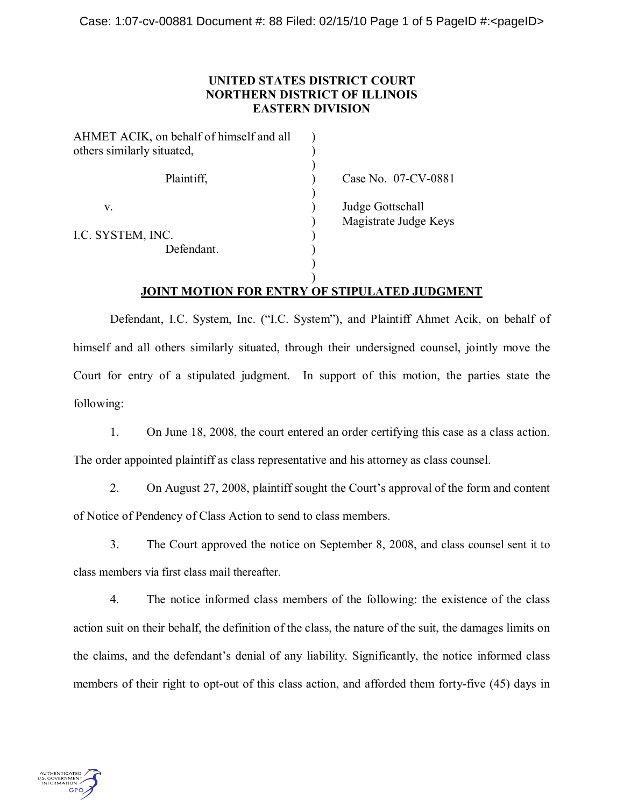## **UNITED STATES DISTRICT COURT NORTHERN DISTRICT OF ILLINOIS EASTERN DIVISION**

| AHMET ACIK, on behalf of himself and all<br>others similarly situated, |                                           |
|------------------------------------------------------------------------|-------------------------------------------|
| Plaintiff,                                                             | Case No. 07-CV-0881                       |
| V.                                                                     | Judge Gottschall<br>Magistrate Judge Keys |
| I.C. SYSTEM, INC.                                                      |                                           |
| Defendant.                                                             |                                           |
|                                                                        |                                           |
|                                                                        |                                           |

# **JOINT MOTION FOR ENTRY OF STIPULATED JUDGMENT**

Defendant, I.C. System, Inc. ("I.C. System"), and Plaintiff Ahmet Acik, on behalf of himself and all others similarly situated, through their undersigned counsel, jointly move the Court for entry of a stipulated judgment. In support of this motion, the parties state the following:

1. On June 18, 2008, the court entered an order certifying this case as a class action. The order appointed plaintiff as class representative and his attorney as class counsel.

2. On August 27, 2008, plaintiff sought the Court's approval of the form and content of Notice of Pendency of Class Action to send to class members.

3. The Court approved the notice on September 8, 2008, and class counsel sent it to class members via first class mail thereafter.

4. The notice informed class members of the following: the existence of the class action suit on their behalf, the definition of the class, the nature of the suit, the damages limits on the claims, and the defendant's denial of any liability. Significantly, the notice informed class members of their right to opt-out of this class action, and afforded them forty-five (45) days in

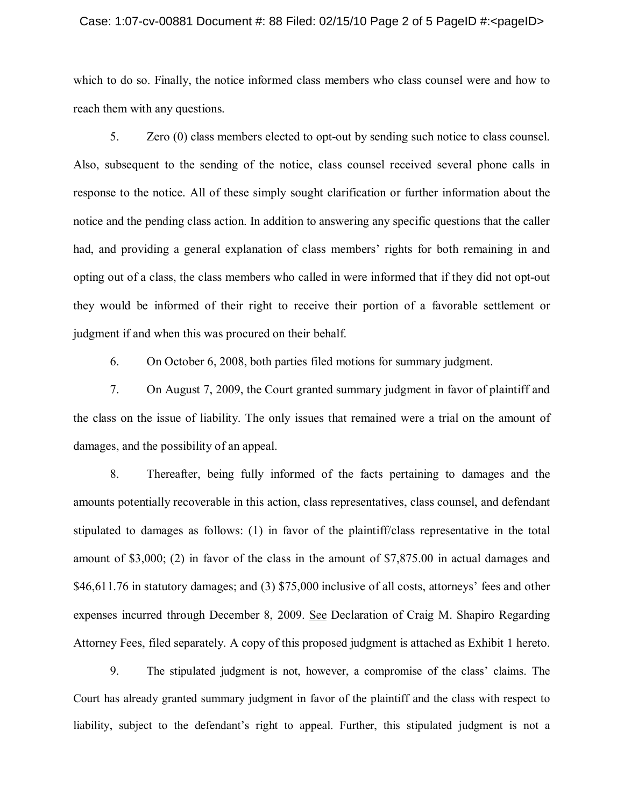### Case: 1:07-cv-00881 Document #: 88 Filed: 02/15/10 Page 2 of 5 PageID #:<pageID>

which to do so. Finally, the notice informed class members who class counsel were and how to reach them with any questions.

5. Zero (0) class members elected to opt-out by sending such notice to class counsel. Also, subsequent to the sending of the notice, class counsel received several phone calls in response to the notice. All of these simply sought clarification or further information about the notice and the pending class action. In addition to answering any specific questions that the caller had, and providing a general explanation of class members' rights for both remaining in and opting out of a class, the class members who called in were informed that if they did not opt-out they would be informed of their right to receive their portion of a favorable settlement or judgment if and when this was procured on their behalf.

6. On October 6, 2008, both parties filed motions for summary judgment.

7. On August 7, 2009, the Court granted summary judgment in favor of plaintiff and the class on the issue of liability. The only issues that remained were a trial on the amount of damages, and the possibility of an appeal.

8. Thereafter, being fully informed of the facts pertaining to damages and the amounts potentially recoverable in this action, class representatives, class counsel, and defendant stipulated to damages as follows: (1) in favor of the plaintiff/class representative in the total amount of \$3,000; (2) in favor of the class in the amount of \$7,875.00 in actual damages and  $$46,611.76$  in statutory damages; and (3)  $$75,000$  inclusive of all costs, attorneys' fees and other expenses incurred through December 8, 2009. See Declaration of Craig M. Shapiro Regarding Attorney Fees, filed separately. A copy of this proposed judgment is attached as Exhibit 1 hereto.

9. The stipulated judgment is not, however, a compromise of the class' claims. The Court has already granted summary judgment in favor of the plaintiff and the class with respect to liability, subject to the defendant's right to appeal. Further, this stipulated judgment is not a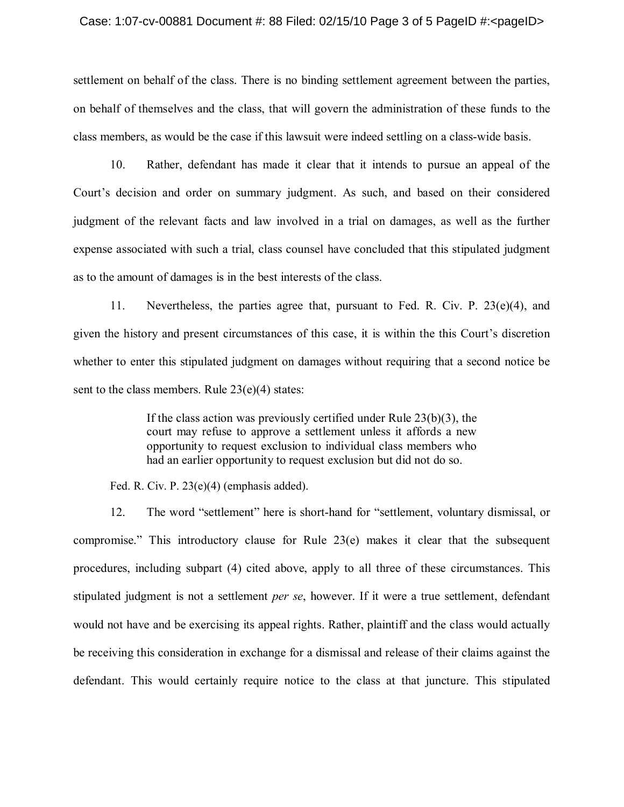#### Case: 1:07-cv-00881 Document  $\#$ : 88 Filed: 02/15/10 Page 3 of 5 PageID  $\#$ : < pageID >

settlement on behalf of the class. There is no binding settlement agreement between the parties, on behalf of themselves and the class, that will govern the administration of these funds to the class members, as would be the case if this lawsuit were indeed settling on a class-wide basis.

10. Rather, defendant has made it clear that it intends to pursue an appeal of the Court's decision and order on summary judgment. As such, and based on their considered judgment of the relevant facts and law involved in a trial on damages, as well as the further expense associated with such a trial, class counsel have concluded that this stipulated judgment as to the amount of damages is in the best interests of the class.

11. Nevertheless, the parties agree that, pursuant to Fed. R. Civ. P. 23(e)(4), and given the history and present circumstances of this case, it is within the this Court's discretion whether to enter this stipulated judgment on damages without requiring that a second notice be sent to the class members. Rule 23(e)(4) states:

> If the class action was previously certified under Rule 23(b)(3), the court may refuse to approve a settlement unless it affords a new opportunity to request exclusion to individual class members who had an earlier opportunity to request exclusion but did not do so.

Fed. R. Civ. P. 23(e)(4) (emphasis added).

12. The word "settlement" here is short-hand for "settlement, voluntary dismissal, or compromise. $\degree$  This introductory clause for Rule 23(e) makes it clear that the subsequent procedures, including subpart (4) cited above, apply to all three of these circumstances. This stipulated judgment is not a settlement *per se*, however. If it were a true settlement, defendant would not have and be exercising its appeal rights. Rather, plaintiff and the class would actually be receiving this consideration in exchange for a dismissal and release of their claims against the defendant. This would certainly require notice to the class at that juncture. This stipulated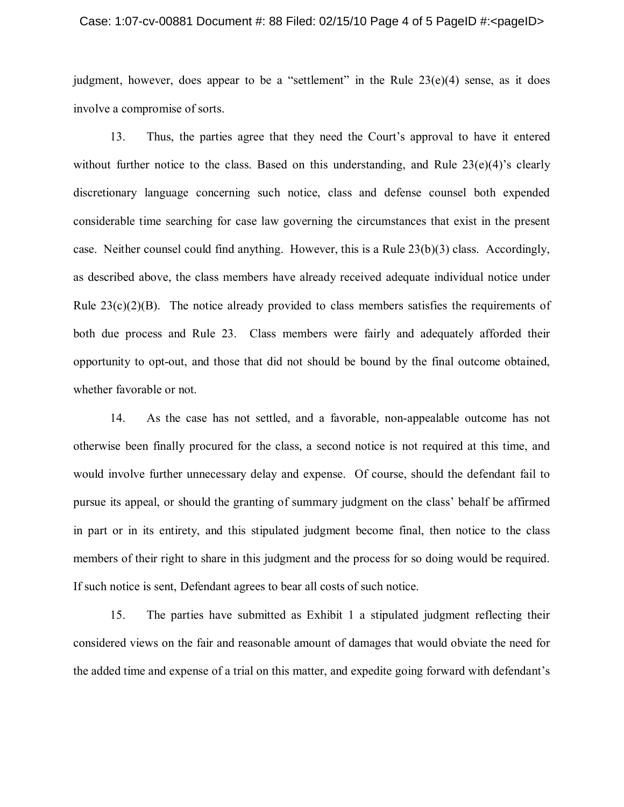### Case: 1:07-cv-00881 Document #: 88 Filed: 02/15/10 Page 4 of 5 PageID #:<pageID>

judgment, however, does appear to be a "settlement" in the Rule  $23(e)(4)$  sense, as it does involve a compromise of sorts.

13. Thus, the parties agree that they need the Court's approval to have it entered without further notice to the class. Based on this understanding, and Rule  $23(e)(4)$ 's clearly discretionary language concerning such notice, class and defense counsel both expended considerable time searching for case law governing the circumstances that exist in the present case. Neither counsel could find anything. However, this is a Rule 23(b)(3) class. Accordingly, as described above, the class members have already received adequate individual notice under Rule  $23(c)(2)(B)$ . The notice already provided to class members satisfies the requirements of both due process and Rule 23. Class members were fairly and adequately afforded their opportunity to opt-out, and those that did not should be bound by the final outcome obtained, whether favorable or not.

14. As the case has not settled, and a favorable, non-appealable outcome has not otherwise been finally procured for the class, a second notice is not required at this time, and would involve further unnecessary delay and expense. Of course, should the defendant fail to pursue its appeal, or should the granting of summary judgment on the class' behalf be affirmed in part or in its entirety, and this stipulated judgment become final, then notice to the class members of their right to share in this judgment and the process for so doing would be required. If such notice is sent, Defendant agrees to bear all costs of such notice.

15. The parties have submitted as Exhibit 1 a stipulated judgment reflecting their considered views on the fair and reasonable amount of damages that would obviate the need for the added time and expense of a trial on this matter, and expedite going forward with defendant's